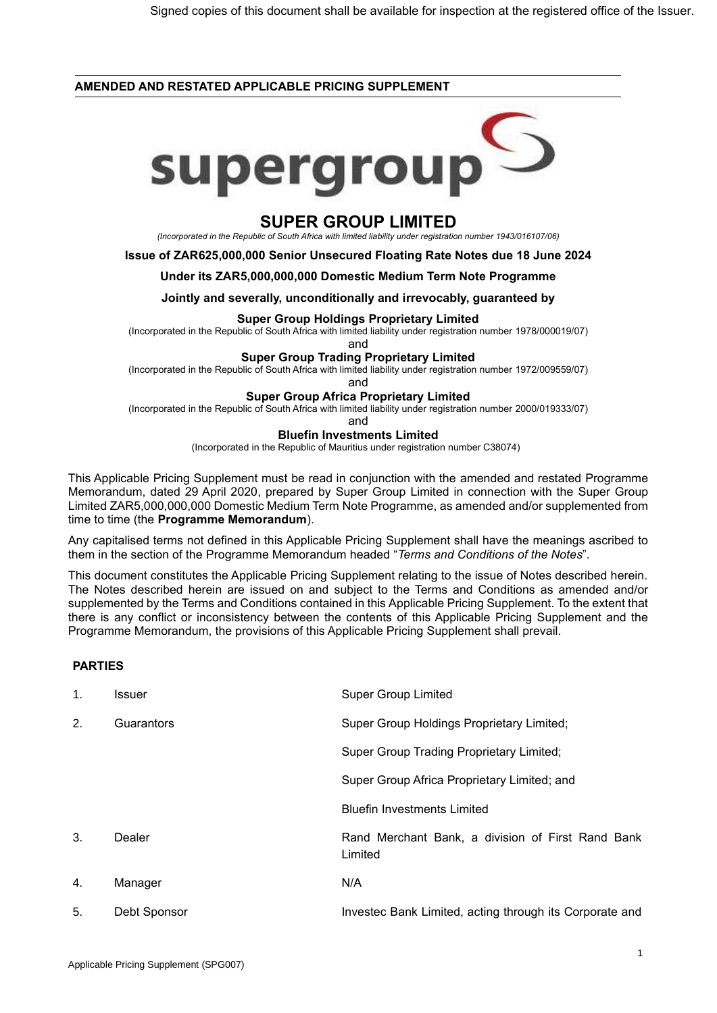### **AMENDED AND RESTATED APPLICABLE PRICING SUPPLEMENT**



# **SUPER GROUP LIMITED**

*(Incorporated in the Republic of South Africa with limited liability under registration number 1943/016107/06)*

**Issue of ZAR625,000,000 Senior Unsecured Floating Rate Notes due 18 June 2024**

#### **Under its ZAR5,000,000,000 Domestic Medium Term Note Programme**

**Jointly and severally, unconditionally and irrevocably, guaranteed by**

#### **Super Group Holdings Proprietary Limited**

(Incorporated in the Republic of South Africa with limited liability under registration number 1978/000019/07)

and

#### **Super Group Trading Proprietary Limited**

(Incorporated in the Republic of South Africa with limited liability under registration number 1972/009559/07)

and

### **Super Group Africa Proprietary Limited**

(Incorporated in the Republic of South Africa with limited liability under registration number 2000/019333/07)

and

#### **Bluefin Investments Limited**

(Incorporated in the Republic of Mauritius under registration number C38074)

This Applicable Pricing Supplement must be read in conjunction with the amended and restated Programme Memorandum, dated 29 April 2020, prepared by Super Group Limited in connection with the Super Group Limited ZAR5,000,000,000 Domestic Medium Term Note Programme, as amended and/or supplemented from time to time (the **Programme Memorandum**).

Any capitalised terms not defined in this Applicable Pricing Supplement shall have the meanings ascribed to them in the section of the Programme Memorandum headed "*Terms and Conditions of the Notes*".

This document constitutes the Applicable Pricing Supplement relating to the issue of Notes described herein. The Notes described herein are issued on and subject to the Terms and Conditions as amended and/or supplemented by the Terms and Conditions contained in this Applicable Pricing Supplement. To the extent that there is any conflict or inconsistency between the contents of this Applicable Pricing Supplement and the Programme Memorandum, the provisions of this Applicable Pricing Supplement shall prevail.

## **PARTIES**

| $\mathbf{1}$ . | Issuer       | <b>Super Group Limited</b>                                   |
|----------------|--------------|--------------------------------------------------------------|
| 2.             | Guarantors   | Super Group Holdings Proprietary Limited;                    |
|                |              | <b>Super Group Trading Proprietary Limited;</b>              |
|                |              | Super Group Africa Proprietary Limited; and                  |
|                |              | <b>Bluefin Investments Limited</b>                           |
| 3.             | Dealer       | Rand Merchant Bank, a division of First Rand Bank<br>Limited |
| 4.             | Manager      | N/A                                                          |
| 5.             | Debt Sponsor | Investec Bank Limited, acting through its Corporate and      |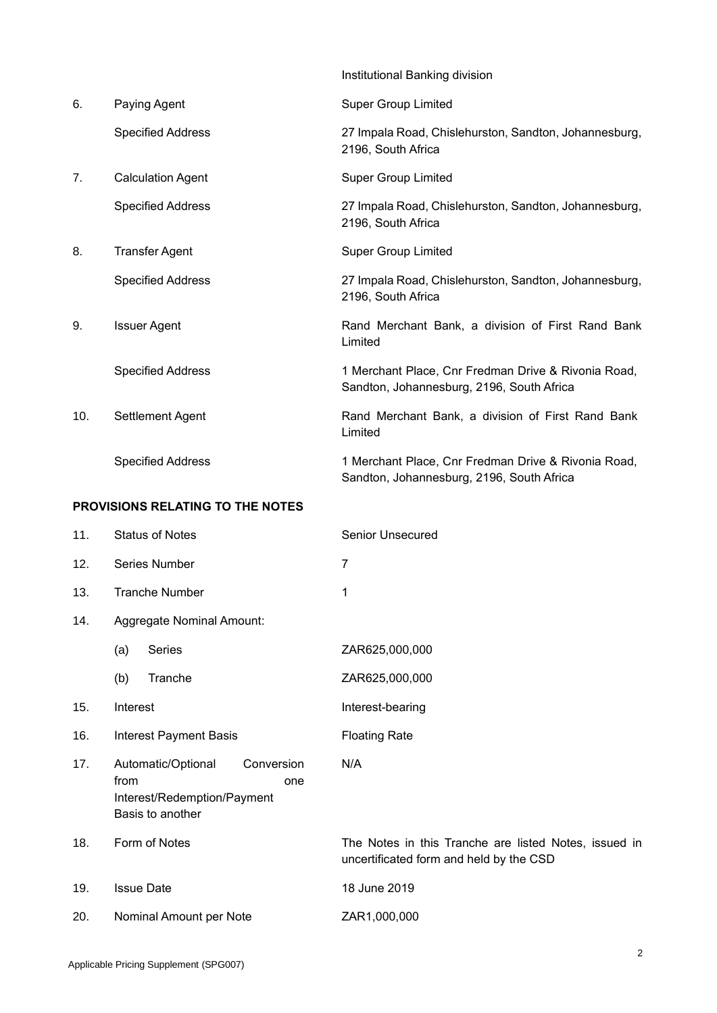|                                  |                           | Institutional Banking division                                                                   |  |
|----------------------------------|---------------------------|--------------------------------------------------------------------------------------------------|--|
| 6.                               | Paying Agent              | <b>Super Group Limited</b>                                                                       |  |
|                                  | <b>Specified Address</b>  | 27 Impala Road, Chislehurston, Sandton, Johannesburg,<br>2196, South Africa                      |  |
| 7.                               | <b>Calculation Agent</b>  | <b>Super Group Limited</b>                                                                       |  |
|                                  | <b>Specified Address</b>  | 27 Impala Road, Chislehurston, Sandton, Johannesburg,<br>2196, South Africa                      |  |
| 8.                               | <b>Transfer Agent</b>     | <b>Super Group Limited</b>                                                                       |  |
|                                  | <b>Specified Address</b>  | 27 Impala Road, Chislehurston, Sandton, Johannesburg,<br>2196, South Africa                      |  |
| 9.                               | <b>Issuer Agent</b>       | Rand Merchant Bank, a division of First Rand Bank<br>Limited                                     |  |
|                                  | <b>Specified Address</b>  | 1 Merchant Place, Cnr Fredman Drive & Rivonia Road,<br>Sandton, Johannesburg, 2196, South Africa |  |
| 10.                              | Settlement Agent          | Rand Merchant Bank, a division of First Rand Bank<br>Limited                                     |  |
|                                  | <b>Specified Address</b>  | 1 Merchant Place, Cnr Fredman Drive & Rivonia Road,<br>Sandton, Johannesburg, 2196, South Africa |  |
| PROVISIONS RELATING TO THE NOTES |                           |                                                                                                  |  |
| 11.                              | <b>Status of Notes</b>    | <b>Senior Unsecured</b>                                                                          |  |
| 12.                              | Series Number             | $\overline{7}$                                                                                   |  |
| 13.                              | <b>Tranche Number</b>     | 1                                                                                                |  |
| 14.                              | Aggregate Nominal Amount: |                                                                                                  |  |

- (a) Series ZAR625,000,000
	- (b) Tranche ZAR625,000,000
- 15. Interest **Interest**
- 16. Interest Payment Basis Floating Rate
- 17. Automatic/Optional Conversion from one Interest/Redemption/Payment Basis to another
- 
- 
- 20. Nominal Amount per Note ZAR1,000,000

18. Form of Notes The Notes in this Tranche are listed Notes, issued in uncertificated form and held by the CSD

19. Issue Date 18 June 2019

N/A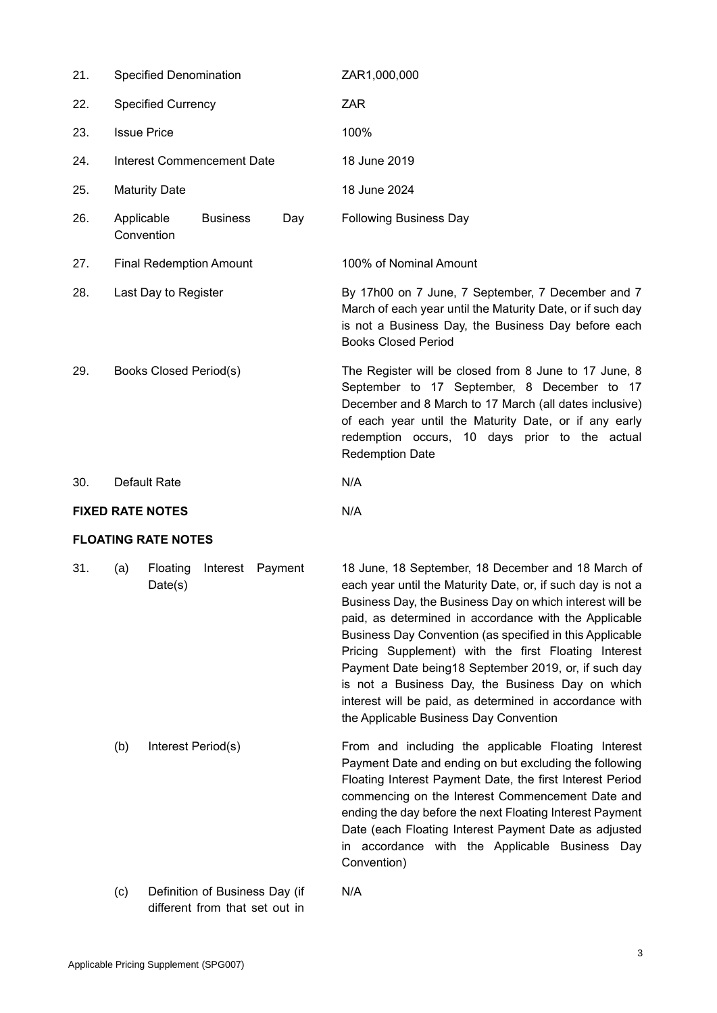| 21. | <b>Specified Denomination</b>  |                    |         | ZAR1,000,000                                                                                                                                                                                                                                                                                                                                                                                                                                                                                                                                                                |
|-----|--------------------------------|--------------------|---------|-----------------------------------------------------------------------------------------------------------------------------------------------------------------------------------------------------------------------------------------------------------------------------------------------------------------------------------------------------------------------------------------------------------------------------------------------------------------------------------------------------------------------------------------------------------------------------|
| 22. | <b>Specified Currency</b>      |                    |         | <b>ZAR</b>                                                                                                                                                                                                                                                                                                                                                                                                                                                                                                                                                                  |
| 23. | <b>Issue Price</b>             |                    |         | 100%                                                                                                                                                                                                                                                                                                                                                                                                                                                                                                                                                                        |
| 24. | Interest Commencement Date     |                    |         | 18 June 2019                                                                                                                                                                                                                                                                                                                                                                                                                                                                                                                                                                |
| 25. | <b>Maturity Date</b>           |                    |         | 18 June 2024                                                                                                                                                                                                                                                                                                                                                                                                                                                                                                                                                                |
| 26. | Applicable<br>Convention       | <b>Business</b>    | Day     | <b>Following Business Day</b>                                                                                                                                                                                                                                                                                                                                                                                                                                                                                                                                               |
| 27. | <b>Final Redemption Amount</b> |                    |         | 100% of Nominal Amount                                                                                                                                                                                                                                                                                                                                                                                                                                                                                                                                                      |
| 28. | Last Day to Register           |                    |         | By 17h00 on 7 June, 7 September, 7 December and 7<br>March of each year until the Maturity Date, or if such day<br>is not a Business Day, the Business Day before each<br><b>Books Closed Period</b>                                                                                                                                                                                                                                                                                                                                                                        |
| 29. | Books Closed Period(s)         |                    |         | The Register will be closed from 8 June to 17 June, 8<br>September to 17 September, 8 December to 17<br>December and 8 March to 17 March (all dates inclusive)<br>of each year until the Maturity Date, or if any early<br>redemption occurs, 10 days prior to the actual<br><b>Redemption Date</b>                                                                                                                                                                                                                                                                         |
| 30. | Default Rate                   |                    |         | N/A                                                                                                                                                                                                                                                                                                                                                                                                                                                                                                                                                                         |
|     | <b>FIXED RATE NOTES</b>        |                    |         | N/A                                                                                                                                                                                                                                                                                                                                                                                                                                                                                                                                                                         |
|     | <b>FLOATING RATE NOTES</b>     |                    |         |                                                                                                                                                                                                                                                                                                                                                                                                                                                                                                                                                                             |
| 31. | Floating<br>(a)<br>Date(s)     | Interest           | Payment | 18 June, 18 September, 18 December and 18 March of<br>each year until the Maturity Date, or, if such day is not a<br>Business Day, the Business Day on which interest will be<br>paid, as determined in accordance with the Applicable<br>Business Day Convention (as specified in this Applicable<br>Pricing Supplement) with the first Floating Interest<br>Payment Date being18 September 2019, or, if such day<br>is not a Business Day, the Business Day on which<br>interest will be paid, as determined in accordance with<br>the Applicable Business Day Convention |
|     | (b)                            | Interest Period(s) |         | From and including the applicable Floating Interest<br>Payment Date and ending on but excluding the following<br>Floating Interest Payment Date, the first Interest Period<br>commencing on the Interest Commencement Date and<br>ending the day before the next Floating Interest Payment<br>Date (each Floating Interest Payment Date as adjusted                                                                                                                                                                                                                         |

Convention)

N/A

(c) Definition of Business Day (if different from that set out in

in accordance with the Applicable Business Day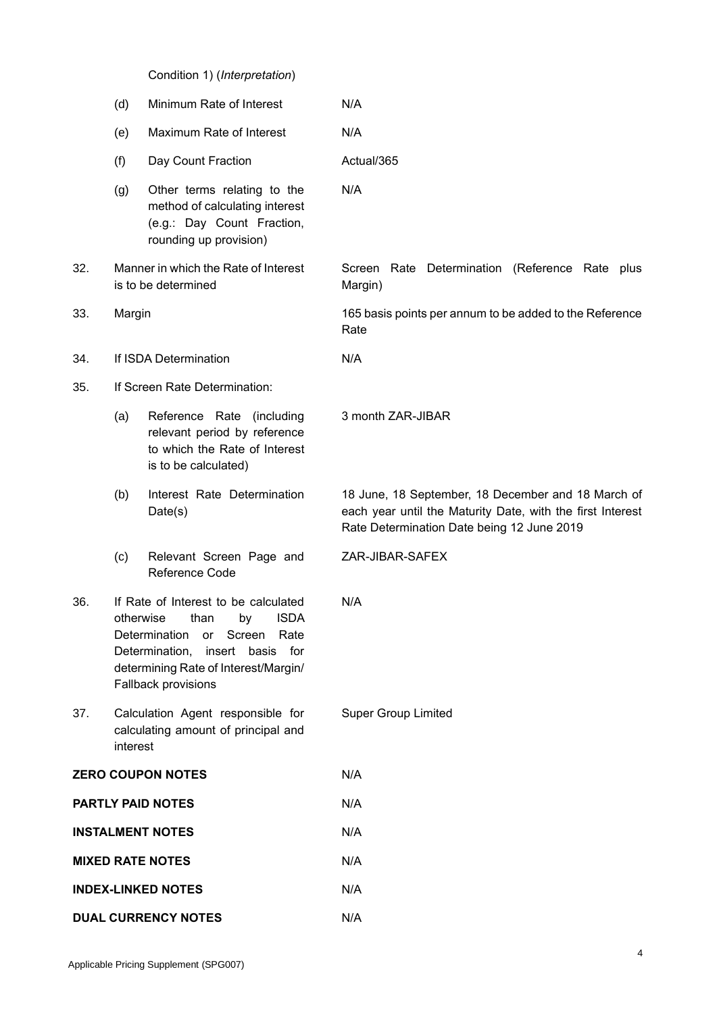Condition 1) (*Interpretation*)

|                            | (d)                                                                                                                                                                                                                       | Minimum Rate of Interest                                                                                              | N/A                                                                                                                                                            |
|----------------------------|---------------------------------------------------------------------------------------------------------------------------------------------------------------------------------------------------------------------------|-----------------------------------------------------------------------------------------------------------------------|----------------------------------------------------------------------------------------------------------------------------------------------------------------|
|                            | (e)                                                                                                                                                                                                                       | Maximum Rate of Interest                                                                                              | N/A                                                                                                                                                            |
|                            | (f)                                                                                                                                                                                                                       | Day Count Fraction                                                                                                    | Actual/365                                                                                                                                                     |
|                            | (g)                                                                                                                                                                                                                       | Other terms relating to the<br>method of calculating interest<br>(e.g.: Day Count Fraction,<br>rounding up provision) | N/A                                                                                                                                                            |
| 32.                        | Manner in which the Rate of Interest<br>is to be determined                                                                                                                                                               |                                                                                                                       | Screen Rate Determination (Reference Rate plus<br>Margin)                                                                                                      |
| 33.                        | Margin                                                                                                                                                                                                                    |                                                                                                                       | 165 basis points per annum to be added to the Reference<br>Rate                                                                                                |
| 34.                        |                                                                                                                                                                                                                           | If ISDA Determination                                                                                                 | N/A                                                                                                                                                            |
| 35.                        |                                                                                                                                                                                                                           | If Screen Rate Determination:                                                                                         |                                                                                                                                                                |
|                            | (a)                                                                                                                                                                                                                       | Reference Rate (including<br>relevant period by reference<br>to which the Rate of Interest<br>is to be calculated)    | 3 month ZAR-JIBAR                                                                                                                                              |
|                            | (b)                                                                                                                                                                                                                       | Interest Rate Determination<br>Date(s)                                                                                | 18 June, 18 September, 18 December and 18 March of<br>each year until the Maturity Date, with the first Interest<br>Rate Determination Date being 12 June 2019 |
|                            | (c)                                                                                                                                                                                                                       | Relevant Screen Page and<br>Reference Code                                                                            | ZAR-JIBAR-SAFEX                                                                                                                                                |
| 36.                        | If Rate of Interest to be calculated<br><b>ISDA</b><br>otherwise<br>than<br>by<br>Determination<br>Screen<br>Rate<br>or<br>Determination, insert basis for<br>determining Rate of Interest/Margin/<br>Fallback provisions |                                                                                                                       | N/A                                                                                                                                                            |
| 37.                        | interest                                                                                                                                                                                                                  | Calculation Agent responsible for<br>calculating amount of principal and                                              | <b>Super Group Limited</b>                                                                                                                                     |
| <b>ZERO COUPON NOTES</b>   |                                                                                                                                                                                                                           |                                                                                                                       | N/A                                                                                                                                                            |
| <b>PARTLY PAID NOTES</b>   |                                                                                                                                                                                                                           |                                                                                                                       | N/A                                                                                                                                                            |
| <b>INSTALMENT NOTES</b>    |                                                                                                                                                                                                                           |                                                                                                                       | N/A                                                                                                                                                            |
| <b>MIXED RATE NOTES</b>    |                                                                                                                                                                                                                           |                                                                                                                       | N/A                                                                                                                                                            |
| <b>INDEX-LINKED NOTES</b>  |                                                                                                                                                                                                                           |                                                                                                                       | N/A                                                                                                                                                            |
| <b>DUAL CURRENCY NOTES</b> |                                                                                                                                                                                                                           |                                                                                                                       | N/A                                                                                                                                                            |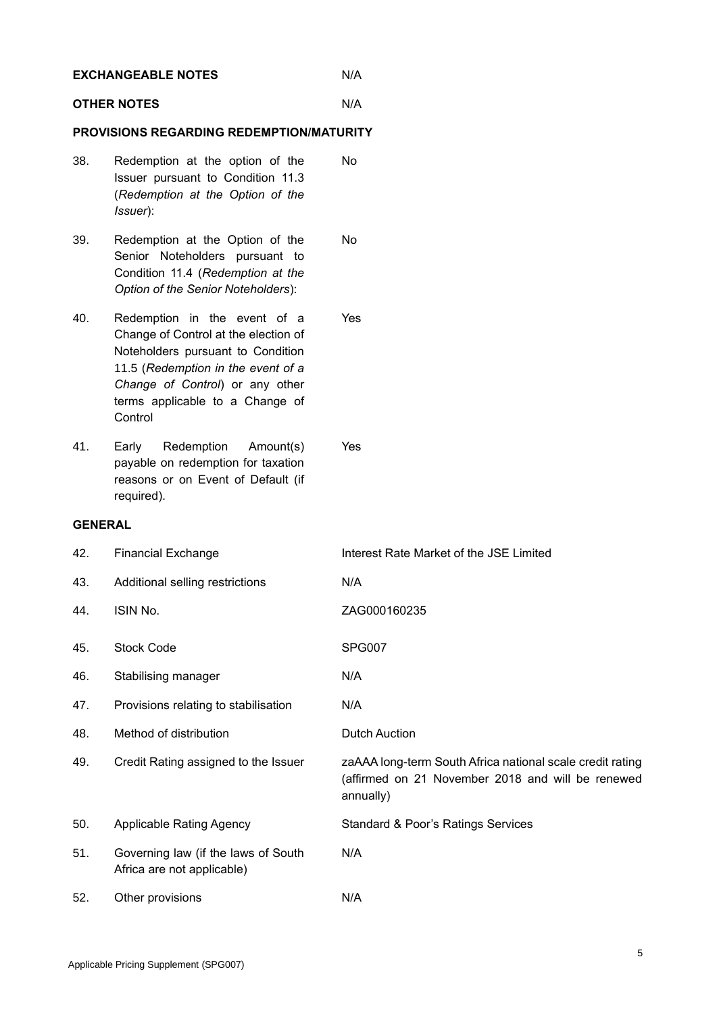| <b>EXCHANGEABLE NOTES</b>                       |                    |                                                                                                                                                                                                                                  | N/A                                                                                                                         |  |
|-------------------------------------------------|--------------------|----------------------------------------------------------------------------------------------------------------------------------------------------------------------------------------------------------------------------------|-----------------------------------------------------------------------------------------------------------------------------|--|
|                                                 | <b>OTHER NOTES</b> |                                                                                                                                                                                                                                  | N/A                                                                                                                         |  |
| <b>PROVISIONS REGARDING REDEMPTION/MATURITY</b> |                    |                                                                                                                                                                                                                                  |                                                                                                                             |  |
|                                                 | 38.                | Redemption at the option of the<br>Issuer pursuant to Condition 11.3<br>(Redemption at the Option of the<br>Issuer):                                                                                                             | No                                                                                                                          |  |
|                                                 | 39.                | Redemption at the Option of the<br>Senior Noteholders pursuant to<br>Condition 11.4 (Redemption at the<br>Option of the Senior Noteholders):                                                                                     | <b>No</b>                                                                                                                   |  |
|                                                 | 40.                | Redemption in the event of a<br>Change of Control at the election of<br>Noteholders pursuant to Condition<br>11.5 (Redemption in the event of a<br>Change of Control) or any other<br>terms applicable to a Change of<br>Control | Yes                                                                                                                         |  |
|                                                 | 41.                | Redemption<br>Amount(s)<br>Early<br>payable on redemption for taxation<br>reasons or on Event of Default (if<br>required).                                                                                                       | Yes                                                                                                                         |  |
|                                                 | <b>GENERAL</b>     |                                                                                                                                                                                                                                  |                                                                                                                             |  |
|                                                 | 42.                | <b>Financial Exchange</b>                                                                                                                                                                                                        | Interest Rate Market of the JSE Limited                                                                                     |  |
|                                                 | 43.                | Additional selling restrictions                                                                                                                                                                                                  | N/A                                                                                                                         |  |
|                                                 | 44.                | ISIN No.                                                                                                                                                                                                                         | ZAG000160235                                                                                                                |  |
|                                                 | 45.                | <b>Stock Code</b>                                                                                                                                                                                                                | <b>SPG007</b>                                                                                                               |  |
|                                                 | 46.                | Stabilising manager                                                                                                                                                                                                              | N/A                                                                                                                         |  |
|                                                 | 47.                | Provisions relating to stabilisation                                                                                                                                                                                             | N/A                                                                                                                         |  |
|                                                 | 48.                | Method of distribution                                                                                                                                                                                                           | <b>Dutch Auction</b>                                                                                                        |  |
|                                                 | 49.                | Credit Rating assigned to the Issuer                                                                                                                                                                                             | zaAAA long-term South Africa national scale credit rating<br>(affirmed on 21 November 2018 and will be renewed<br>annually) |  |
|                                                 | 50.                | <b>Applicable Rating Agency</b>                                                                                                                                                                                                  | Standard & Poor's Ratings Services                                                                                          |  |
|                                                 | 51.                | Governing law (if the laws of South<br>Africa are not applicable)                                                                                                                                                                | N/A                                                                                                                         |  |
|                                                 | 52.                | Other provisions                                                                                                                                                                                                                 | N/A                                                                                                                         |  |
|                                                 |                    |                                                                                                                                                                                                                                  |                                                                                                                             |  |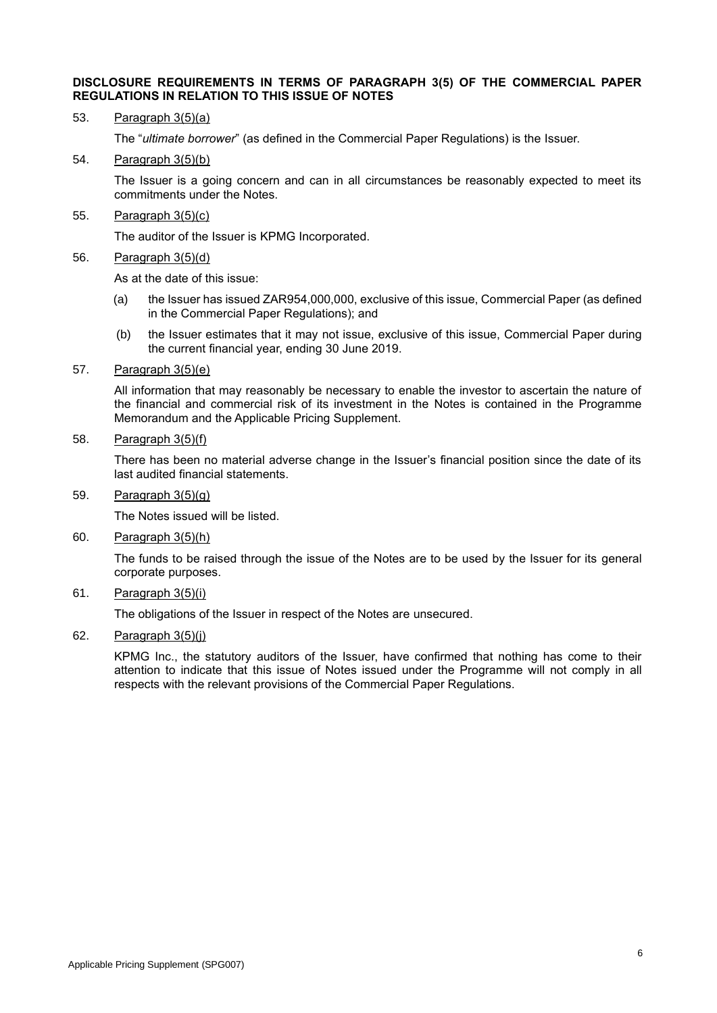#### **DISCLOSURE REQUIREMENTS IN TERMS OF PARAGRAPH 3(5) OF THE COMMERCIAL PAPER REGULATIONS IN RELATION TO THIS ISSUE OF NOTES**

#### 53. Paragraph 3(5)(a)

The "*ultimate borrower*" (as defined in the Commercial Paper Regulations) is the Issuer.

#### 54. Paragraph 3(5)(b)

The Issuer is a going concern and can in all circumstances be reasonably expected to meet its commitments under the Notes.

#### 55. Paragraph 3(5)(c)

The auditor of the Issuer is KPMG Incorporated.

#### 56. Paragraph 3(5)(d)

As at the date of this issue:

- (a) the Issuer has issued ZAR954,000,000, exclusive of this issue, Commercial Paper (as defined in the Commercial Paper Regulations); and
- (b) the Issuer estimates that it may not issue, exclusive of this issue, Commercial Paper during the current financial year, ending 30 June 2019.

#### 57. Paragraph 3(5)(e)

All information that may reasonably be necessary to enable the investor to ascertain the nature of the financial and commercial risk of its investment in the Notes is contained in the Programme Memorandum and the Applicable Pricing Supplement.

### 58. Paragraph 3(5)(f)

There has been no material adverse change in the Issuer's financial position since the date of its last audited financial statements.

### 59. Paragraph 3(5)(g)

The Notes issued will be listed.

#### 60. Paragraph 3(5)(h)

The funds to be raised through the issue of the Notes are to be used by the Issuer for its general corporate purposes.

## 61. Paragraph 3(5)(i)

The obligations of the Issuer in respect of the Notes are unsecured.

## 62. Paragraph 3(5)(j)

KPMG Inc., the statutory auditors of the Issuer, have confirmed that nothing has come to their attention to indicate that this issue of Notes issued under the Programme will not comply in all respects with the relevant provisions of the Commercial Paper Regulations.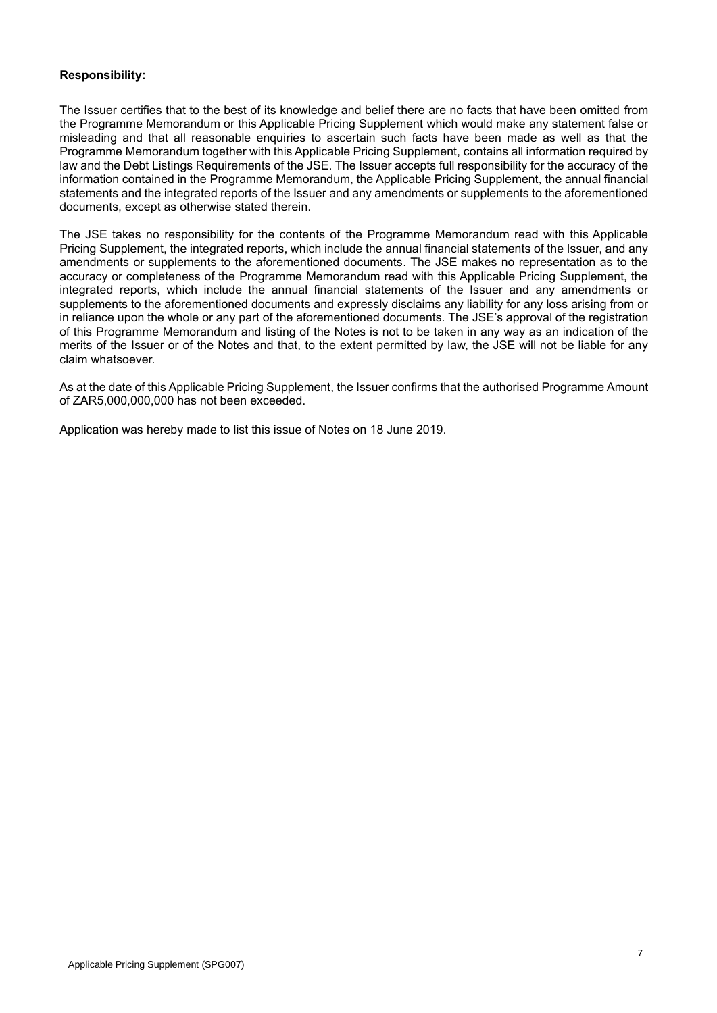## **Responsibility:**

The Issuer certifies that to the best of its knowledge and belief there are no facts that have been omitted from the Programme Memorandum or this Applicable Pricing Supplement which would make any statement false or misleading and that all reasonable enquiries to ascertain such facts have been made as well as that the Programme Memorandum together with this Applicable Pricing Supplement, contains all information required by law and the Debt Listings Requirements of the JSE. The Issuer accepts full responsibility for the accuracy of the information contained in the Programme Memorandum, the Applicable Pricing Supplement, the annual financial statements and the integrated reports of the Issuer and any amendments or supplements to the aforementioned documents, except as otherwise stated therein.

The JSE takes no responsibility for the contents of the Programme Memorandum read with this Applicable Pricing Supplement, the integrated reports, which include the annual financial statements of the Issuer, and any amendments or supplements to the aforementioned documents. The JSE makes no representation as to the accuracy or completeness of the Programme Memorandum read with this Applicable Pricing Supplement, the integrated reports, which include the annual financial statements of the Issuer and any amendments or supplements to the aforementioned documents and expressly disclaims any liability for any loss arising from or in reliance upon the whole or any part of the aforementioned documents. The JSE's approval of the registration of this Programme Memorandum and listing of the Notes is not to be taken in any way as an indication of the merits of the Issuer or of the Notes and that, to the extent permitted by law, the JSE will not be liable for any claim whatsoever.

As at the date of this Applicable Pricing Supplement, the Issuer confirms that the authorised Programme Amount of ZAR5,000,000,000 has not been exceeded.

Application was hereby made to list this issue of Notes on 18 June 2019.